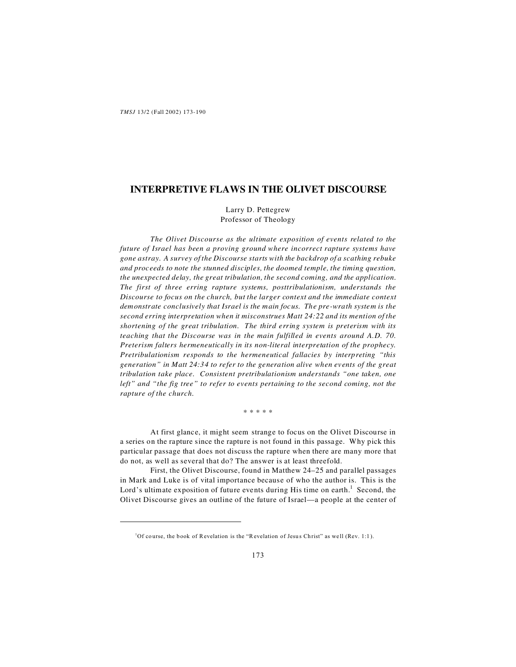# **INTERPRETIVE FLAWS IN THE OLIVET DISCOURSE**

Larry D. Pettegrew Professor of Theology

*The Olivet Discourse as the ultimate exposition of events related to the future of Israel has been a proving ground where incorrect rapture systems have gone astray. A survey of the Discourse starts with the backdrop of a scathing rebuke and proceeds to note the stunned disciples, the doomed temple, the timing question, the unexpected delay, the great tribulation, the second coming, and the application. The first of three erring rapture systems, posttribulationism, understands the Discourse to focus on the church, but the larger context and the immediate context demonstrate conclusively that Israel is the main focus. The pre-wrath system is the second erring interpretation when it misconstrues Matt 24:22 and its mention of the shortening of the great tribulation. The third erring system is preterism with its teaching that the Discourse was in the main fulfilled in events around A.D. 70. Preterism falters hermeneutically in its non-literal interpretation of the prophecy. Pretribulationism responds to the hermeneutical fallacies by interpreting "this generation" in Matt 24:34 to refer to the generation alive when events of the great tribulation take place. Consistent pretribulationism understands "one taken, one left" and "the fig tree" to refer to events pertaining to the second coming, not the rapture of the church.*

\* \* \* \* \*

At first glance, it might seem strange to focus on the Olivet Discourse in a series on the rapture since the rapture is not found in this passage. Why pick this particular passage that does not discuss the rapture when there are many more that do not, as well as several that do? The answer is at least threefold.

First, the Olivet Discourse, found in Matthew 24–25 and parallel passages in Mark and Luke is of vital importance because of who the author is. This is the Lord's ultimate exposition of future events during His time on earth.<sup>1</sup> Second, the Olivet Discourse gives an outline of the future of Israel—a people at the center of

 $1$ Of course, the book of Revelation is the "Revelation of Jesus Christ" as well (Rev. 1:1).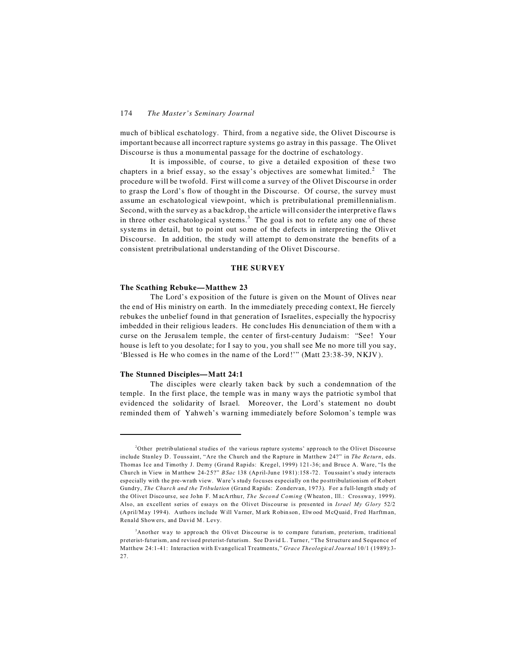much of biblical eschatology. Third, from a negative side, the Olivet Discourse is important because all incorrect rapture systems go astray in this passage. The Olivet Discourse is thus a monumental passage for the doctrine of eschatology.

It is impossible, of course, to give a detailed exposition of these two chapters in a brief essay, so the essay's objectives are somewhat limited.<sup>2</sup> The procedure will be twofold. First will come a survey of the Olivet Discourse in order to grasp the Lord's flow of thought in the Discourse. Of course, the survey must assume an eschatological viewpoint, which is pretribulational premillennialism. Second, with the survey as a backdrop, the article will consider the interpretive flaws in three other eschatological systems.<sup>3</sup> The goal is not to refute any one of these systems in detail, but to point out some of the defects in interpreting the Olivet Discourse. In addition, the study will attempt to demonstrate the benefits of a consistent pretribulational understanding of the Olivet Discourse.

# **THE SURVEY**

#### **The Scathing Rebuke—Matthew 23**

The Lord's exposition of the future is given on the Mount of Olives near the end of His ministry on earth. In the immediately preceding context, He fiercely rebukes the unbelief found in that generation of Israelites, especially the hypocrisy imbedded in their religious leaders. He concludes His denunciation of them with a curse on the Jerusalem temple, the center of first-century Judaism: "See! Your house is left to you desolate; for I say to you, you shall see Me no more till you say, 'Blessed is He who comes in the name of the Lord!'" (Matt 23:38-39, NKJV).

#### **The Stunned Disciples—Matt 24:1**

The disciples were clearly taken back by such a condemnation of the temple. In the first place, the temple was in many ways the patriotic symbol that evidenced the solidarity of Israel. Moreover, the Lord's statement no doubt reminded them of Yahweh's warning immediately before Solomon's temple was

<sup>&</sup>lt;sup>2</sup>Other pretribulational studies of the various rapture systems' approach to the Olivet Discourse include Stanley D. Toussaint, "Are the Church and the Rapture in Matthew 24?" in *The Return*, eds. Thomas Ice and Timothy J. Demy (Grand Rapids: Kregel, 1999) 121-36; and Bruce A. Ware, "Is the Church in View in Matthew 24-25?" *BSac* 138 (April-June 1981):158-72. Toussaint's study interacts especially with the pre-wrath view. Ware's study focuses especially on the po sttribulationism of Robert Gundry, *The Church and the Tribulation* (Grand Rapids: Zondervan, 1973). For a full-length study of the Olivet Discourse, see John F. MacArthur, *The Second Coming* (Wheaton, Ill.: Crossway, 1999). Also, an excellent series of essays on the Olivet Discourse is presented in *Israel My G lory* 52/2 (April/May 1994). Authors include Will Varner, Mark Robinson, Elwood McQuaid, Fred Harftman, Renald Show ers, and David M . Levy.

<sup>3</sup>Another way to approach the Olivet Discourse is to compare futurism, preterism, traditional preterist-futurism, and revised preterist-futurism. See David L. Turner, "The Structure and Sequence of Matthew 24:1-41: Interaction with Evangelical Treatments," *Grace Theological Journal* 10/1 (1989):3- 27.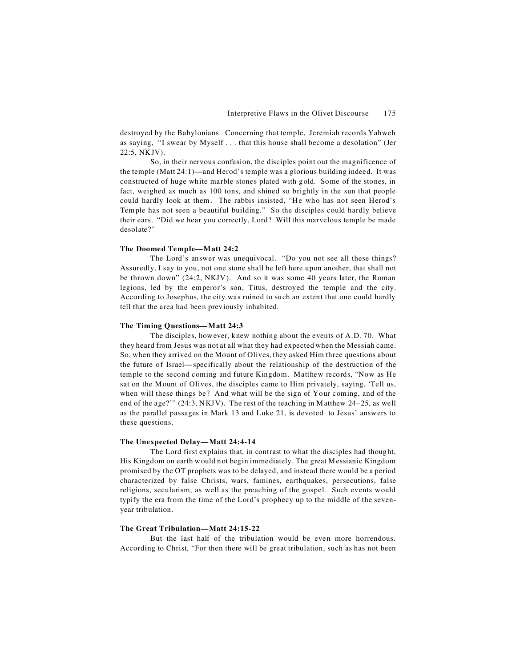destroyed by the Babylonians. Concerning that temple, Jeremiah records Yahweh as saying, "I swear by Myself . . . that this house shall become a desolation" (Jer 22:5, NKJV).

So, in their nervous confusion, the disciples point out the magnificence of the temple (Matt 24:1)—and Herod's temple was a glorious building indeed. It was constructed of huge white marble stones plated with gold. Some of the stones, in fact, weighed as much as 100 tons, and shined so brightly in the sun that people could hardly look at them. The rabbis insisted, "He who has not seen Herod's Temple has not seen a beautiful building." So the disciples could hardly believe their ears. "Did we hear you correctly, Lord? Will this marvelous temple be made desolate?"

#### **The Doomed Temple—Matt 24:2**

The Lord's answer was unequivocal. "Do you not see all these things? Assuredly, I say to you, not one stone shall be left here upon another, that shall not be thrown down" (24:2, NKJV). And so it was some 40 years later, the Roman legions, led by the emperor's son, Titus, destroyed the temple and the city. According to Josephus, the city was ruined to such an extent that one could hardly tell that the area had been previously inhabited.

#### **The Timing Questions—Matt 24:3**

The disciples, however, knew nothing about the events of A.D. 70. What they heard from Jesus was not at all what they had expected when the Messiah came. So, when they arrived on the Mount of Olives, they asked Him three questions about the future of Israel—specifically about the relationship of the destruction of the temple to the second coming and future Kingdom. Matthew records, "Now as He sat on the Mount of Olives, the disciples came to Him privately, saying, 'Tell us, when will these things be? And what will be the sign of Your coming, and of the end of the age?'" (24:3, NKJV). The rest of the teaching in Matthew 24–25, as well as the parallel passages in Mark 13 and Luke 21, is devoted to Jesus' answers to these questions.

# **The Unexpected Delay—Matt 24:4-14**

The Lord first explains that, in contrast to what the disciples had thought, His Kingdom on earth would not begin immediately. The great Messianic Kingdom promised by the OT prophets was to be delayed, and instead there would be a period characterized by false Christs, wars, famines, earthquakes, persecutions, false religions, secularism, as well as the preaching of the gospel. Such events would typify the era from the time of the Lord's prophecy up to the middle of the sevenyear tribulation.

# **The Great Tribulation—Matt 24:15-22**

But the last half of the tribulation would be even more horrendous. According to Christ, "For then there will be great tribulation, such as has not been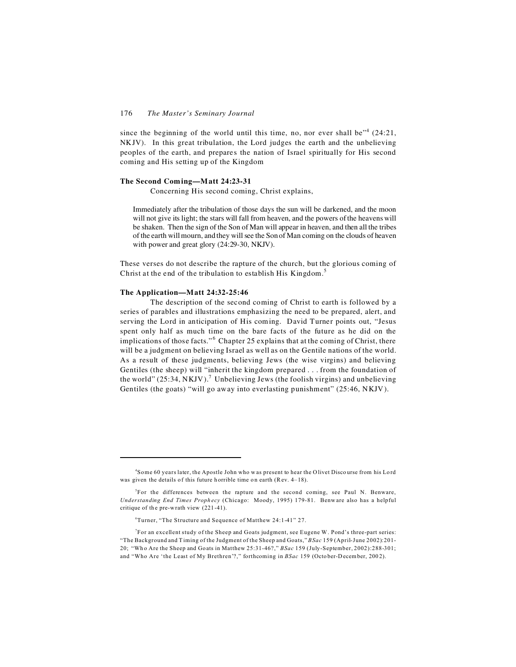since the beginning of the world until this time, no, nor ever shall be"<sup>4</sup>  $(24:21,$ NKJV). In this great tribulation, the Lord judges the earth and the unbelieving peoples of the earth, and prepares the nation of Israel spiritually for His second coming and His setting up of the Kingdom

#### **The Second Coming—Matt 24:23-31**

Concerning His second coming, Christ explains,

Immediately after the tribulation of those days the sun will be darkened, and the moon will not give its light; the stars will fall from heaven, and the powers of the heavens will be shaken. Then the sign of the Son of Man will appear in heaven, and then all the tribes of the earth will mourn, and they will see the Son of Man coming on the clouds of heaven with power and great glory (24:29-30, NKJV).

These verses do not describe the rapture of the church, but the glorious coming of Christ at the end of the tribulation to establish His Kingdom.<sup>5</sup>

#### **The Application—Matt 24:32-25:46**

The description of the second coming of Christ to earth is followed by a series of parables and illustrations emphasizing the need to be prepared, alert, and serving the Lord in anticipation of His coming. David Turner points out, "Jesus spent only half as much time on the bare facts of the future as he did on the implications of those facts."<sup>6</sup> Chapter 25 explains that at the coming of Christ, there will be a judgment on believing Israel as well as on the Gentile nations of the world. As a result of these judgments, believing Jews (the wise virgins) and believing Gentiles (the sheep) will "inherit the kingdom prepared . . . from the foundation of the world" (25:34, NKJV).<sup>7</sup> Unbelieving Jews (the foolish virgins) and unbelieving Gentiles (the goats) "will go away into everlasting punishment" (25:46, NKJV).

<sup>4</sup> Some 60 years later, the Apostle John who w as present to hear the Olivet Disco urse from his Lo rd was given the details of this future h orrible time on earth (Rev.  $4-18$ ).

<sup>5</sup> For the differences between the rapture and the second coming, see Paul N. Benware, *Understanding End Times Proph ecy* (Chicago: Moody, 1995) 179-81. Benw are also has a helpful critique of the pre-wrath view  $(221-41)$ .

<sup>6</sup>Turner, "The Structure and Sequence of Matthew 24:1-41" 27.

<sup>7</sup> For an excellent study of the Sheep and Goats judgment, see Eugene W. Pond's three-part series: "The Background and Timing of the Judgment of the Sheep and Goats," *BSac* 159 (April-June 2002):201- 20; "Wh o Are the Sheep and Go ats in Matthew 25:31-46?," *BSac* 159 (July-September, 2002):288-301; and "Who Are 'the Least of My Brethren'?," forthcoming in *BSac* 159 (October-December, 2002).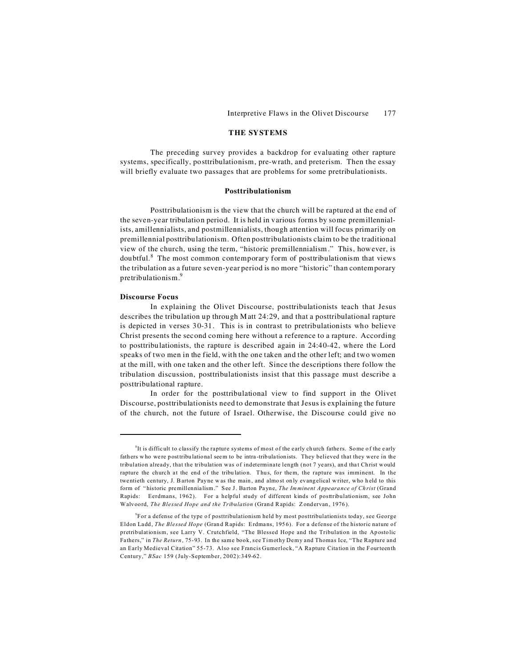# **THE SYSTEMS**

The preceding survey provides a backdrop for evaluating other rapture systems, specifically, posttribulationism, pre-wrath, and preterism. Then the essay will briefly evaluate two passages that are problems for some pretribulationists.

# **Posttribulationism**

Posttribulationism is the view that the church will be raptured at the end of the seven-year tribulation period. It is held in various forms by some premillennialists, amillennialists, and postmillennialists, though attention will focus primarily on premillennial posttribulationism. Often posttribulationists claim to be the traditional view of the church, using the term, "historic premillennialism." This, however, is doubtful.<sup>8</sup> The most common contemporary form of posttribulationism that views the tribulation as a future seven-year period is no more "historic" than contemporary pretribulationism.<sup>9</sup>

# **Discourse Focus**

In explaining the Olivet Discourse, posttribulationists teach that Jesus describes the tribulation up through Matt 24:29, and that a posttribulational rapture is depicted in verses 30-31. This is in contrast to pretribulationists who believe Christ presents the second coming here without a reference to a rapture. According to posttribulationists, the rapture is described again in 24:40-42, where the Lord speaks of two men in the field, with the one taken and the other left; and two women at the mill, with one taken and the other left. Since the descriptions there follow the tribulation discussion, posttribulationists insist that this passage must describe a posttribulational rapture.

In order for the posttribulational view to find support in the Olivet Discourse, posttribulationists need to demonstrate that Jesus is explaining the future of the church, not the future of Israel. Otherwise, the Discourse could give no

<sup>&</sup>lt;sup>8</sup>It is difficult to classify the rapture systems of most of the early church fathers. Some of the early fath ers w ho we re posttribu latio nal seem to be intra -tribula tion ists. They believed that they were in the tribulation already, that the tribulation was of indeterminate length (not 7 years), and that Christ would rapture the church at the end of the tribulation. Thus, for them, the rapture was imminent. In the twentieth century, J. Barton Payne was the main, and almost only evangelical writer, who held to this form of " historic premill ennia lism." See J. Ba rton Payne, *The Imminent Appeara nce of Ch rist* (Grand Rapids: Eerdmans, 1962). For a helpful study of different kinds of posttribulationism, see John Walvoord, *The Blessed Hope and the Tribulation* (Grand Rapids: Zondervan, 1976).

<sup>9</sup> For a defense of the type o f posttribulationism held by most posttribulationists today, see George Eldon Ladd, *The Blessed Hope* (Grand Rapids: Erdmans, 1956). For a defense of the historic nature of pretribulationism, see Larry V. Crutchfield, "The Blessed Hope and the Tribulation in the Ap osto lic Fa the rs," in *The Return*, 75-93. In the same book, see Timothy Demy and Thomas Ice, "The Rapture and an Early Medieval Citation" 55-73. Also see Francis Gumerlock, "A Rapture Cita tion in the Fourteenth Century," *BSac* 159 (July-September, 2002):349-62.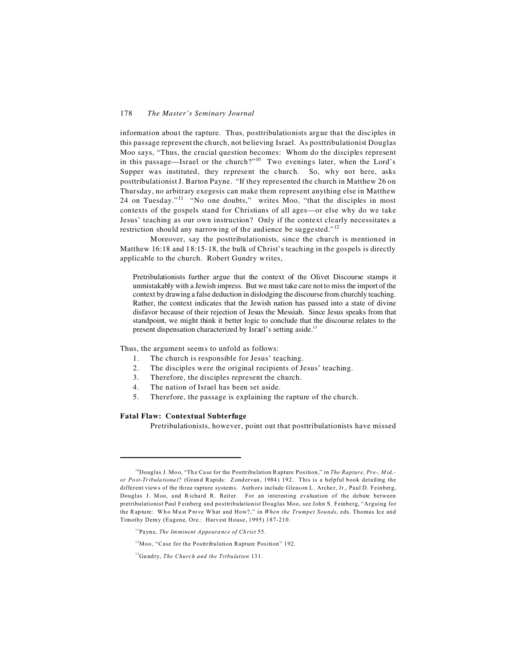information about the rapture. Thus, posttribulationists argue that the disciples in this passage represent the church, not believing Israel. As posttribulationist Douglas Moo says, "Thus, the crucial question becomes: Whom do the disciples represent in this passage—Israel or the church?"<sup>10</sup> Two evenings later, when the Lord's Supper was instituted, they represent the church. So, why not here, asks posttribulationist J. Barton Payne. "If they represented the church in Matthew 26 on Thursday, no arbitrary exegesis can make them represent anything else in Matthew 24 on Tuesday."<sup>11</sup> "No one doubts," writes Moo, "that the disciples in most contexts of the gospels stand for Christians of all ages—or else why do we take Jesus' teaching as our own instruction? Only if the context clearly necessitates a restriction should any narrowing of the audience be suggested."<sup>12</sup>

Moreover, say the posttribulationists, since the church is mentioned in Matthew 16:18 and 18:15-18, the bulk of Christ's teaching in the gospels is directly applicable to the church. Robert Gundry writes,

Pretribulationists further argue that the context of the Olivet Discourse stamps it unmistakably with a Jewish impress. But we must take care not to miss the import of the context by drawing a false deduction in dislodging the discourse from churchly teaching. Rather, the context indicates that the Jewish nation has passed into a state of divine disfavor because of their rejection of Jesus the Messiah. Since Jesus speaks from that standpoint, we might think it better logic to conclude that the discourse relates to the present dispensation characterized by Israel's setting aside.<sup>13</sup>

Thus, the argument seems to unfold as follows:

- 1. The church is responsible for Jesus' teaching.
- 2. The disciples were the original recipients of Jesus' teaching.
- 3. Therefore, the disciples represent the church.
- 4. The nation of Israel has been set aside.
- 5. Therefore, the passage is explaining the rapture of the church.

#### **Fatal Flaw: Contextual Subterfuge**

Pretribulationists, however, point out that posttribulationists have missed

<sup>&</sup>lt;sup>10</sup>Douglas J. Moo, "The Case for the Posttribulation Rapture Position," in *The Rapture, Pre-, Mid,or Post-Tribulational?* (Grand Rapids: Zondervan, 1984) 192. This is a helpful book detailing the different views of the three rapture systems. Authors include Gleas on L. Archer, Jr., Paul D. Feinberg, Douglas J. Moo, and Richard R. Reiter. For an interesting evaluation of the debate between pretribulationist Paul F einberg and posttribulationist Douglas Moo, see John S. Feinberg, "Arguing for the Rapture: Who Must Prove What and How?," in When the Trumpet Sounds, eds. Thomas Ice and Timothy Demy (Eugene, Ore.: Harvest House, 1995) 187-210.

<sup>11</sup>Payne, *The Imminent Appeara nce of Ch rist* 55.

<sup>12</sup>Moo, "Case for the Posttribulation Rapture Position" 192.

<sup>13</sup>Gu ndry, *The Church and the Tribulation* 131.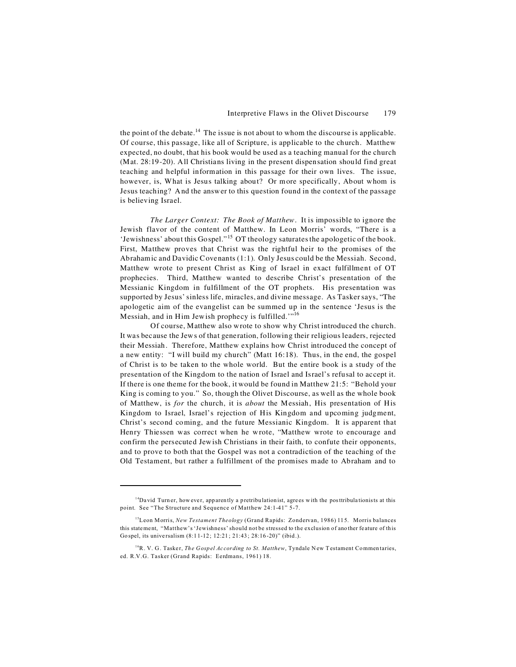the point of the debate.<sup>14</sup> The issue is not about to whom the discourse is applicable. Of course, this passage, like all of Scripture, is applicable to the church. Matthew expected, no doubt, that his book would be used as a teaching manual for the church (Mat. 28:19-20). All Christians living in the present dispensation should find great teaching and helpful information in this passage for their own lives. The issue, however, is, What is Jesus talking about? Or more specifically, About whom is Jesus teaching? And the answer to this question found in the context of the passage is believing Israel.

*The Larger Context: The Book of Matthew*. It is impossible to ignore the Jewish flavor of the content of Matthew. In Leon Morris' words, "There is a 'Jewishness' about this Gospel." <sup>15</sup> OT theology saturates the apologetic of the book. First, Matthew proves that Christ was the rightful heir to the promises of the Abrahamic and Davidic Covenants (1:1). Only Jesus could be the Messiah. Second, Matthew wrote to present Christ as King of Israel in exact fulfillment of OT prophecies. Third, Matthew wanted to describe Christ's presentation of the Messianic Kingdom in fulfillment of the OT prophets. His presentation was supported by Jesus' sinless life, miracles, and divine message. As Tasker says, "The apologetic aim of the evangelist can be summed up in the sentence 'Jesus is the Messiah, and in Him Jewish prophecy is fulfilled. $"$ <sup>16</sup>

Of course, Matthew also wrote to show why Christ introduced the church. It was because the Jews of that generation, following their religious leaders, rejected their Messiah. Therefore, Matthew explains how Christ introduced the concept of a new entity: "I will build my church" (Matt 16:18). Thus, in the end, the gospel of Christ is to be taken to the whole world. But the entire book is a study of the presentation of the Kingdom to the nation of Israel and Israel's refusal to accept it. If there is one theme for the book, it would be found in Matthew 21:5: "Behold your King is coming to you." So, though the Olivet Discourse, as well as the whole book of Matthew, is *for* the church, it is *about* the Messiah, His presentation of His Kingdom to Israel, Israel's rejection of His Kingdom and upcoming judgment, Christ's second coming, and the future Messianic Kingdom. It is apparent that Henry Thiessen was correct when he wrote, "Matthew wrote to encourage and confirm the persecuted Jewish Christians in their faith, to confute their opponents, and to prove to both that the Gospel was not a contradiction of the teaching of the Old Testament, but rather a fulfillment of the promises made to Abraham and to

<sup>&</sup>lt;sup>14</sup>Da vid Turn er, how ever, app arently a pretribulation ist, agrees with the posttribulationists at this point. See "The Structure and Sequence of Matthew 24:1-41" 5-7.

<sup>15</sup>Leon Morris, *New Testament Theology* (Grand Rapids: Zondervan, 1986) 115. Morris balances this statement, "Matthew's 'Jewishness' should not be stressed to the exclusion of ano ther fe ature of this Go spel, its unive rsalism (8:1 1-12; 12:21 ; 21:43 ; 28:16 -20)" (ibid .).

<sup>&</sup>lt;sup>16</sup>R. V. G. Tasker, *The Gospel According to St. Matthew*, Tyndale New Testament Commentaries, ed. R.V.G. Tasker (Grand Rapids: Eerdmans, 1961) 18.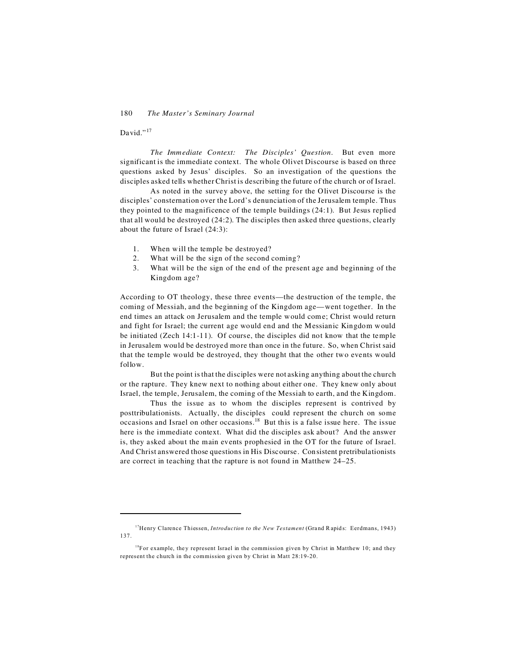# David."<sup>17</sup>

*The Immediate Context: The Disciples' Question*. But even more significant is the immediate context. The whole Olivet Discourse is based on three questions asked by Jesus' disciples. So an investigation of the questions the disciples asked tells whether Christ is describing the future of the church or of Israel.

As noted in the survey above, the setting for the Olivet Discourse is the disciples' consternation over the Lord's denunciation of the Jerusalem temple. Thus they pointed to the magnificence of the temple buildings (24:1). But Jesus replied that all would be destroyed (24:2). The disciples then asked three questions, clearly about the future of Israel (24:3):

- 1. When will the temple be destroyed?
- 2. What will be the sign of the second coming?
- 3. What will be the sign of the end of the present age and beginning of the Kingdom age?

According to OT theology, these three events—the destruction of the temple, the coming of Messiah, and the beginning of the Kingdom age—went together. In the end times an attack on Jerusalem and the temple would come; Christ would return and fight for Israel; the current age would end and the Messianic Kingdom would be initiated (Zech 14:1-11). Of course, the disciples did not know that the temple in Jerusalem would be destroyed more than once in the future. So, when Christ said that the temple would be destroyed, they thought that the other two events would follow.

But the point is that the disciples were not asking anything about the church or the rapture. They knew next to nothing about either one. They knew only about Israel, the temple, Jerusalem, the coming of the Messiah to earth, and the Kingdom.

Thus the issue as to whom the disciples represent is contrived by posttribulationists. Actually, the disciples could represent the church on some occasions and Israel on other occasions.<sup>18</sup> But this is a false issue here. The issue here is the immediate context. What did the disciples ask about? And the answer is, they asked about the main events prophesied in the OT for the future of Israel. And Christ answered those questions in His Discourse. Consistent pretribulationists are correct in teaching that the rapture is not found in Matthew 24–25.

<sup>&</sup>lt;sup>17</sup>Henry Clarence Thiessen, *Introduction to the New Testament* (Grand Rapids: Eerdmans, 1943) 137.

<sup>&</sup>lt;sup>18</sup>For example, they represent Israel in the commission given by Christ in Matthew 10; and they represent the church in the commission given by Christ in Matt 28:19-20.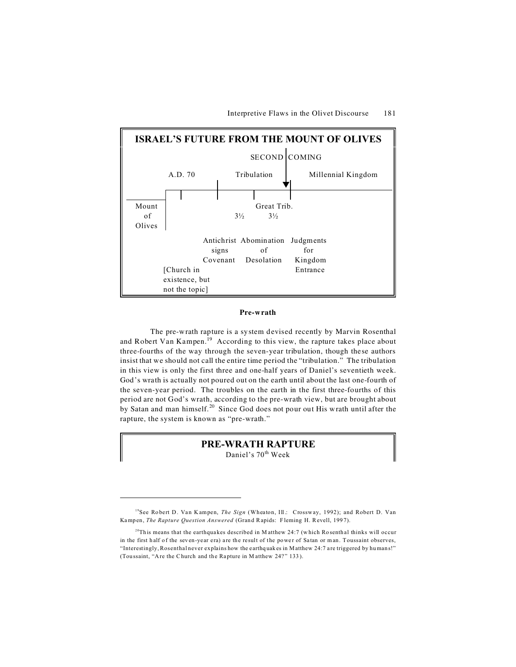

# **Pre-wrath**

The pre-wrath rapture is a system devised recently by Marvin Rosenthal and Robert Van Kampen.<sup>19</sup> According to this view, the rapture takes place about three-fourths of the way through the seven-year tribulation, though these authors insist that we should not call the entire time period the "tribulation." The tribulation in this view is only the first three and one-half years of Daniel's seventieth week. God's wrath is actually not poured out on the earth until about the last one-fourth of the seven-year period. The troubles on the earth in the first three-fourths of this period are not God's wrath, according to the pre-wrath view, but are brought about by Satan and man himself.<sup>20</sup> Since God does not pour out His wrath until after the rapture, the system is known as "pre-wrath."

# **PRE-WRATH RAPTURE**

Daniel's 70<sup>th</sup> Week

<sup>&</sup>lt;sup>19</sup>See Robert D. Van Kampen, *The Sign* (Wheaton, Ill.: Crossway, 1992); and Robert D. Van Kamp en, *The Rapture Question Answered* (Gran d Rapids: Fleming H. Revell, 199 7).

<sup>&</sup>lt;sup>20</sup>This means that the earthquakes described in M atthew 24:7 (which Rosenthal thinks will occur in the first half of the seven-year era) are the result of the power of Satan or man. Toussaint observes, "Interestingly, Rosenthal never explains how the e arthq uak es in Matthew 24:7 a re triggered by human s!" (Toussaint, "Are the Church and the Rapture in Matthew 24?" 133).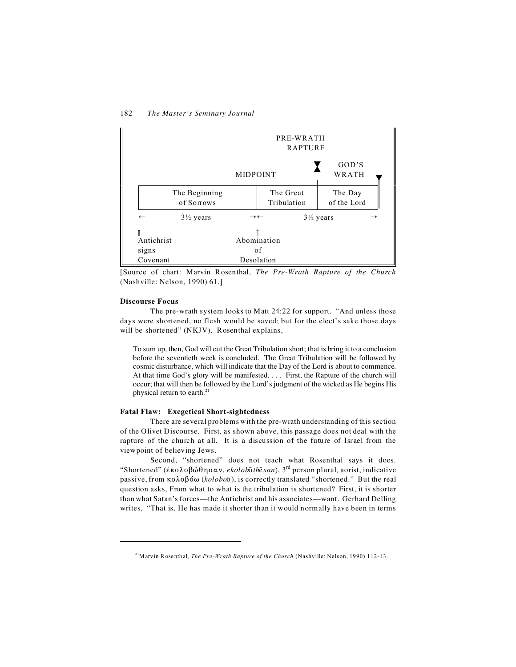

[Source of chart: Marvin Rosenthal, *The Pre-Wrath Rapture of the Church* (Nashville: Nelson, 1990) 61.]

# **Discourse Focus**

The pre-wrath system looks to Matt 24:22 for support. "And unless those days were shortened, no flesh would be saved; but for the elect's sake those days will be shortened" (NKJV). Rosenthal explains,

To sum up, then, God will cut the Great Tribulation short; that is bring it to a conclusion before the seventieth week is concluded. The Great Tribulation will be followed by cosmic disturbance, which will indicate that the Day of the Lord is about to commence. At that time God's glory will be manifested. . . . First, the Rapture of the church will occur; that will then be followed by the Lord's judgment of the wicked as He begins His physical return to earth. $21$ 

# **Fatal Flaw: Exegetical Short-sightedness**

There are several problems with the pre-wrath understanding of this section of the Olivet Discourse. First, as shown above, this passage does not deal with the rapture of the church at all. It is a discussion of the future of Israel from the viewpoint of believing Jews.

Second, "shortened" does not teach what Rosenthal says it does. "Shortened" (*έκολοβώθησαν, ekolobσth εκαι*), 3<sup>rd</sup> person plural, aorist, indicative passive, from  $\kappa \partial \phi \partial \phi$  (*kolobo* $\bar{\partial}$ ), is correctly translated "shortened." But the real question asks, From what to what is the tribulation is shortened? First, it is shorter than what Satan's forces—the Antichrist and his associates—want. Gerhard Delling writes, "That is, He has made it shorter than it would normally have been in terms

<sup>&</sup>lt;sup>21</sup>Marvin Rosenthal, *The Pre-Wrath Rapture of the Church* (Nashville: Nelson, 1990) 112-13.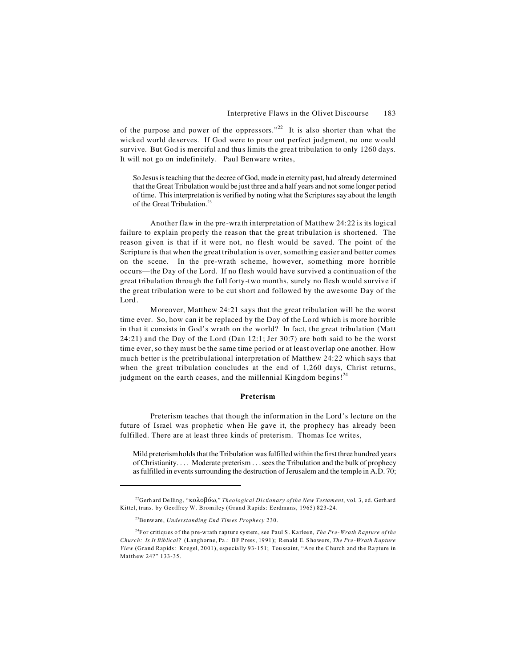of the purpose and power of the oppressors."<sup>22</sup> It is also shorter than what the wicked world deserves. If God were to pour out perfect judgment, no one would survive. But God is merciful and thus limits the great tribulation to only 1260 days. It will not go on indefinitely. Paul Benware writes,

So Jesus is teaching that the decree of God, made in eternity past, had already determined that the Great Tribulation would be just three and a half years and not some longer period of time. This interpretation is verified by noting what the Scriptures say about the length of the Great Tribulation.<sup>23</sup>

Another flaw in the pre-wrath interpretation of Matthew 24:22 is its logical failure to explain properly the reason that the great tribulation is shortened. The reason given is that if it were not, no flesh would be saved. The point of the Scripture is that when the great tribulation is over, something easier and better comes on the scene. In the pre-wrath scheme, however, something more horrible occurs—the Day of the Lord. If no flesh would have survived a continuation of the great tribulation through the full forty-two months, surely no flesh would survive if the great tribulation were to be cut short and followed by the awesome Day of the Lord.

Moreover, Matthew 24:21 says that the great tribulation will be the worst time ever. So, how can it be replaced by the Day of the Lord which is more horrible in that it consists in God's wrath on the world? In fact, the great tribulation (Matt 24:21) and the Day of the Lord (Dan 12:1; Jer 30:7) are both said to be the worst time ever, so they must be the same time period or at least overlap one another. How much better is the pretribulational interpretation of Matthew 24:22 which says that when the great tribulation concludes at the end of 1,260 days, Christ returns, judgment on the earth ceases, and the millennial Kingdom begins!<sup>24</sup>

# **Preterism**

Preterism teaches that though the information in the Lord's lecture on the future of Israel was prophetic when He gave it, the prophecy has already been fulfilled. There are at least three kinds of preterism. Thomas Ice writes,

Mild preterism holds that the Tribulation was fulfilled within the first three hundred years of Christianity. . . . Moderate preterism . . . sees the Tribulation and the bulk of prophecy as fulfilled in events surrounding the destruction of Jerusalem and the temple in A.D. 70;

<sup>&</sup>lt;sup>22</sup>Gerh ard Delling, "κολοβόω," *Theological Dictionary of the New Testament*, vol. 3, ed. Gerhard Kittel, trans. by Geoffrey W. Bromiley (Grand Rapids: Eerdmans, 1965) 823-24.

<sup>23</sup>Be nw are, *Understanding End Times Prophecy* 230.

<sup>&</sup>lt;sup>24</sup>For critiques of the pre-wrath rapture system, see Paul S. Karleen, *The Pre-Wrath Rapture of the Church: Is It Biblical?* (Langhorne, Pa .: BF Press, 1991); Renald E. Showe rs, *The Pre -Wrath Rapture* View (Grand Rapids: Kregel, 2001), especially 93-151; Toussaint, "Are the Church and the Rapture in Matthew 24?" 133-35.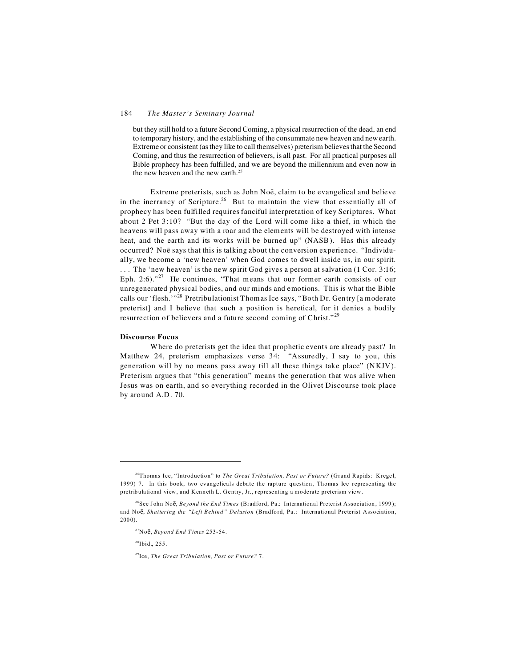#### 184 *The Master's Seminary Journal*

but they still hold to a future Second Coming, a physical resurrection of the dead, an end to temporary history, and the establishing of the consummate new heaven and new earth. Extreme or consistent (as they like to call themselves) preterism believes that the Second Coming, and thus the resurrection of believers, is all past. For all practical purposes all Bible prophecy has been fulfilled, and we are beyond the millennium and even now in the new heaven and the new earth. $25$ 

Extreme preterists, such as John Noë, claim to be evangelical and believe in the inerrancy of Scripture.<sup>26</sup> But to maintain the view that essentially all of prophecy has been fulfilled requires fanciful interpretation of key Scriptures. What about 2 Pet 3:10? "But the day of the Lord will come like a thief, in which the heavens will pass away with a roar and the elements will be destroyed with intense heat, and the earth and its works will be burned up" (NASB). Has this already occurred? No says that this is talking about the conversion experience. "Individually, we become a 'new heaven' when God comes to dwell inside us, in our spirit. . . . The 'new heaven' is the new spirit God gives a person at salvation (1 Cor. 3:16; Eph. 2:6). $127$  He continues, "That means that our former earth consists of our unregenerated physical bodies, and our minds and emotions. This is what the Bible calls our 'flesh.'"<sup>28</sup> Pretribulationist Thomas Ice says, "Both Dr. Gentry [a moderate preterist] and I believe that such a position is heretical, for it denies a bodily resurrection of believers and a future second coming of Christ."<sup>29</sup>

#### **Discourse Focus**

Where do preterists get the idea that prophetic events are already past? In Matthew 24, preterism emphasizes verse 34: "Assuredly, I say to you, this generation will by no means pass away till all these things take place" (NKJV). Preterism argues that "this generation" means the generation that was alive when Jesus was on earth, and so everything recorded in the Olivet Discourse took place by around A.D. 70.

 $28$ Ibid., 255.

<sup>&</sup>lt;sup>25</sup>Thomas Ice, "Introduction" to *The Great Tribulation, Past or Future?* (Grand Rapids: Kregel, 1999) 7. In this book, two evangelicals debate the rapture question, Thomas Ice representing the pretribulational view, and Kenneth L. Gentry, Jr., representing a moderate preterism view.

<sup>&</sup>lt;sup>26</sup>See John Noe, *Beyond the End Times* (Bradford, Pa.: International Preterist Association, 1999); and Noë, *Shattering the "Left Behind" Delusion* (Bradford, Pa.: International Preterist Association,  $2000$ ).

<sup>&</sup>lt;sup>27</sup>Noë, *Beyond End Times* 253-54.

<sup>29</sup>Ice, *The Great Tribulation, Past or Future?* 7.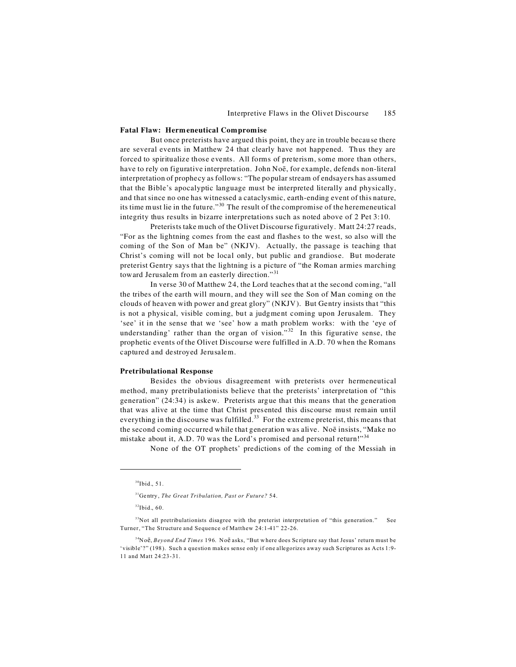#### **Fatal Flaw: Hermeneutical Compromise**

But once preterists have argued this point, they are in trouble because there are several events in Matthew 24 that clearly have not happened. Thus they are forced to spiritualize those events. All forms of preterism, some more than others, have to rely on figurative interpretation. John Noë, for example, defends non-literal interpretation of prophecy as follows: "The popular stream of endsayers has assumed that the Bible's apocalyptic language must be interpreted literally and physically, and that since no one has witnessed a cataclysmic, earth-ending event of this nature, its time must lie in the future."<sup>30</sup> The result of the compromise of the heremeneutical integrity thus results in bizarre interpretations such as noted above of 2 Pet 3:10.

Preterists take much of the Olivet Discourse figuratively. Matt 24:27 reads, "For as the lightning comes from the east and flashes to the west, so also will the coming of the Son of Man be" (NKJV). Actually, the passage is teaching that Christ's coming will not be local only, but public and grandiose. But moderate preterist Gentry says that the lightning is a picture of "the Roman armies marching toward Jerusalem from an easterly direction."<sup>31</sup>

In verse 30 of Matthew 24, the Lord teaches that at the second coming, "all the tribes of the earth will mourn, and they will see the Son of Man coming on the clouds of heaven with power and great glory" (NKJV). But Gentry insists that "this is not a physical, visible coming, but a judgment coming upon Jerusalem. They 'see' it in the sense that we 'see' how a math problem works: with the 'eye of understanding' rather than the organ of vision."<sup>32</sup> In this figurative sense, the prophetic events of the Olivet Discourse were fulfilled in A.D. 70 when the Romans captured and destroyed Jerusalem.

#### **Pretribulational Response**

Besides the obvious disagreement with preterists over hermeneutical method, many pretribulationists believe that the preterists' interpretation of "this generation" (24:34) is askew. Preterists argue that this means that the generation that was alive at the time that Christ presented this discourse must remain until everything in the discourse was fulfilled.<sup>33</sup> For the extreme preterist, this means that the second coming occurred while that generation was alive. No  $\bar{e}$  insists, "Make no mistake about it, A.D. 70 was the Lord's promised and personal return!"<sup>34</sup>

None of the OT prophets' predictions of the coming of the Messiah in

 $30$ Ibid., 51.

<sup>31</sup>Ge ntry , *The Great Tribulation, Past or Future?* 54.

 $32$ Ibid., 60.

<sup>&</sup>lt;sup>33</sup>Not all pretribulationists disagree with the preterist interpretation of "this generation." See Turner, "The Structure and Sequence of Matthew 24:1-41" 22-26.

<sup>&</sup>lt;sup>34</sup>Noe, *Beyond End Times* 196. Noe asks, "But where does Scripture say that Jesus' return must be 'visible'?" (198). Such a question makes sense only if one allegorizes away such Scriptures as Acts 1:9- 11 and Matt 24:23-31.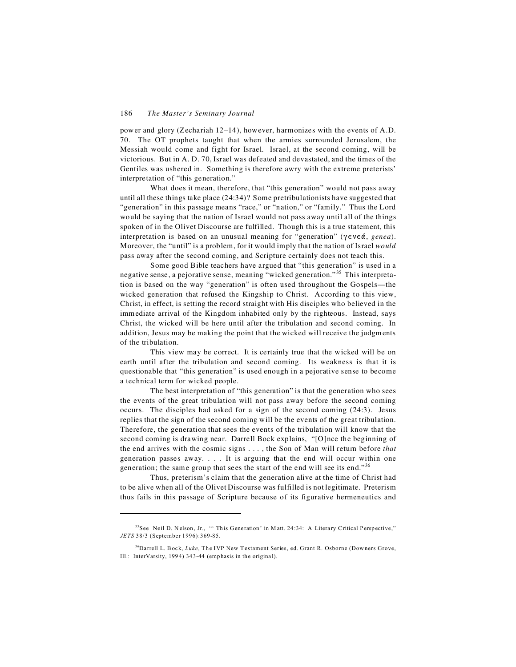power and glory (Zechariah 12–14), however, harmonizes with the events of A.D. 70. The OT prophets taught that when the armies surrounded Jerusalem, the Messiah would come and fight for Israel. Israel, at the second coming, will be victorious. But in A. D. 70, Israel was defeated and devastated, and the times of the Gentiles was ushered in. Something is therefore awry with the extreme preterists' interpretation of "this generation."

What does it mean, therefore, that "this generation" would not pass away until all these things take place (24:34)? Some pretribulationists have suggested that "generation" in this passage means "race," or "nation," or "family." Thus the Lord would be saying that the nation of Israel would not pass away until all of the things spoken of in the Olivet Discourse are fulfilled. Though this is a true statement, this interpretation is based on an unusual meaning for "generation" ( $\gamma \in \alpha \in \mathcal{A}$ , *genea*). Moreover, the "until" is a problem, for it would imply that the nation of Israel *would* pass away after the second coming, and Scripture certainly does not teach this.

Some good Bible teachers have argued that "this generation" is used in a negative sense, a pejorative sense, meaning "wicked generation." <sup>35</sup> This interpretation is based on the way "generation" is often used throughout the Gospels—the wicked generation that refused the Kingship to Christ. According to this view, Christ, in effect, is setting the record straight with His disciples who believed in the immediate arrival of the Kingdom inhabited only by the righteous. Instead, says Christ, the wicked will be here until after the tribulation and second coming. In addition, Jesus may be making the point that the wicked will receive the judgments of the tribulation.

This view may be correct. It is certainly true that the wicked will be on earth until after the tribulation and second coming. Its weakness is that it is questionable that "this generation" is used enough in a pejorative sense to become a technical term for wicked people.

The best interpretation of "this generation" is that the generation who sees the events of the great tribulation will not pass away before the second coming occurs. The disciples had asked for a sign of the second coming (24:3). Jesus replies that the sign of the second coming will be the events of the great tribulation. Therefore, the generation that sees the events of the tribulation will know that the second coming is drawing near. Darrell Bock explains, "[O]nce the beginning of the end arrives with the cosmic signs . . . , the Son of Man will return before *that* generation passes away. . . . It is arguing that the end will occur within one generation; the same group that sees the start of the end will see its end."<sup>36</sup>

Thus, preterism's claim that the generation alive at the time of Christ had to be alive when all of the Olivet Discourse was fulfilled is not legitimate. Preterism thus fails in this passage of Scripture because of its figurative hermeneutics and

<sup>&</sup>lt;sup>35</sup>See Neil D. Nelson, Jr., "' This Generation' in Matt. 24:34: A Literary Critical Perspective," *JETS* 38/3 (September 1996):369-85.

<sup>&</sup>lt;sup>36</sup>Darrell L. Bock, *Luke*, The IVP New Testament Series, ed. Grant R. Osborne (Downers Grove, Ill.: InterVarsity, 1994) 343-44 (emphasis in the original).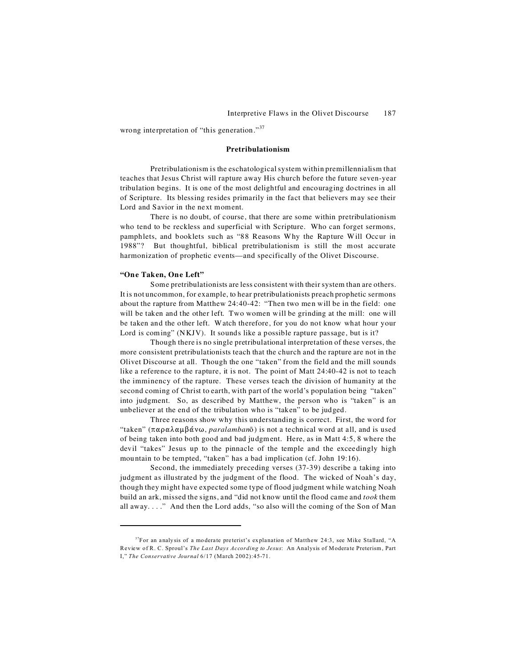wrong interpretation of "this generation."<sup>37</sup>

#### **Pretribulationism**

Pretribulationism is the eschatological system within premillennialism that teaches that Jesus Christ will rapture away His church before the future seven-year tribulation begins. It is one of the most delightful and encouraging doctrines in all of Scripture. Its blessing resides primarily in the fact that believers may see their Lord and Savior in the next moment.

There is no doubt, of course, that there are some within pretribulationism who tend to be reckless and superficial with Scripture. Who can forget sermons, pamphlets, and booklets such as "88 Reasons Why the Rapture Will Occur in 1988"? But thoughtful, biblical pretribulationism is still the most accurate harmonization of prophetic events—and specifically of the Olivet Discourse.

# **"One Taken, One Left"**

Some pretribulationists are less consistent with their system than are others. It is not uncommon, for example, to hear pretribulationists preach prophetic sermons about the rapture from Matthew 24:40-42: "Then two men will be in the field: one will be taken and the other left. Two women will be grinding at the mill: one will be taken and the other left. Watch therefore, for you do not know what hour your Lord is coming" (NKJV). It sounds like a possible rapture passage, but is it?

Though there is no single pretribulational interpretation of these verses, the more consistent pretribulationists teach that the church and the rapture are not in the Olivet Discourse at all. Though the one "taken" from the field and the mill sounds like a reference to the rapture, it is not. The point of Matt 24:40-42 is not to teach the imminency of the rapture. These verses teach the division of humanity at the second coming of Christ to earth, with part of the world's population being "taken" into judgment. So, as described by Matthew, the person who is "taken" is an unbeliever at the end of the tribulation who is "taken" to be judged.

Three reasons show why this understanding is correct. First, the word for "taken" ( $\pi \alpha \rho \alpha \lambda \alpha \mu \beta \dot{\alpha} \nu \omega$ , *paralamban* $\bar{o}$ ) is not a technical word at all, and is used of being taken into both good and bad judgment. Here, as in Matt 4:5, 8 where the devil "takes" Jesus up to the pinnacle of the temple and the exceedingly high mountain to be tempted, "taken" has a bad implication (cf. John 19:16).

Second, the immediately preceding verses (37-39) describe a taking into judgment as illustrated by the judgment of the flood. The wicked of Noah's day, though they might have expected some type of flood judgment while watching Noah build an ark, missed the signs, and "did not know until the flood came and *took* them all away. . . ." And then the Lord adds, "so also will the coming of the Son of Man

 $37$ For an analysis of a moderate preterist's explanation of Matthew 24:3, see Mike Stallard, "A Review of R. C. Sproul's *The Last Days According to Jesus*: An Analysis of Moderate Preterism, Part I," *The Conservative Journal* 6/17 (March 2002):45-71.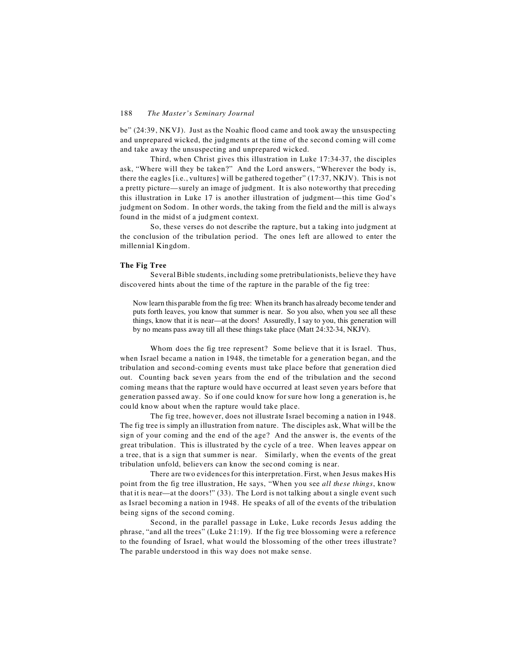be" (24:39, NKVJ). Just as the Noahic flood came and took away the unsuspecting and unprepared wicked, the judgments at the time of the second coming will come and take away the unsuspecting and unprepared wicked.

Third, when Christ gives this illustration in Luke 17:34-37, the disciples ask, "Where will they be taken?" And the Lord answers, "Wherever the body is, there the eagles [i.e., vultures] will be gathered together" (17:37, NKJV). This is not a pretty picture—surely an image of judgment. It is also noteworthy that preceding this illustration in Luke 17 is another illustration of judgment—this time God's judgment on Sodom. In other words, the taking from the field and the mill is always found in the midst of a judgment context.

So, these verses do not describe the rapture, but a taking into judgment at the conclusion of the tribulation period. The ones left are allowed to enter the millennial Kingdom.

# **The Fig Tree**

Several Bible students, including some pretribulationists, believe they have discovered hints about the time of the rapture in the parable of the fig tree:

Now learn this parable from the fig tree: When its branch has already become tender and puts forth leaves, you know that summer is near. So you also, when you see all these things, know that it is near—at the doors! Assuredly, I say to you, this generation will by no means pass away till all these things take place (Matt 24:32-34, NKJV).

Whom does the fig tree represent? Some believe that it is Israel. Thus, when Israel became a nation in 1948, the timetable for a generation began, and the tribulation and second-coming events must take place before that generation died out. Counting back seven years from the end of the tribulation and the second coming means that the rapture would have occurred at least seven years before that generation passed away. So if one could know for sure how long a generation is, he could know about when the rapture would take place.

The fig tree, however, does not illustrate Israel becoming a nation in 1948. The fig tree is simply an illustration from nature. The disciples ask, What will be the sign of your coming and the end of the age? And the answer is, the events of the great tribulation. This is illustrated by the cycle of a tree. When leaves appear on a tree, that is a sign that summer is near. Similarly, when the events of the great tribulation unfold, believers can know the second coming is near.

There are two evidences for this interpretation. First, when Jesus makes His point from the fig tree illustration, He says, "When you see *all these things*, know that it is near—at the doors!" (33). The Lord is not talking about a single event such as Israel becoming a nation in 1948. He speaks of all of the events of the tribulation being signs of the second coming.

Second, in the parallel passage in Luke, Luke records Jesus adding the phrase, "and all the trees" (Luke 21:19). If the fig tree blossoming were a reference to the founding of Israel, what would the blossoming of the other trees illustrate? The parable understood in this way does not make sense.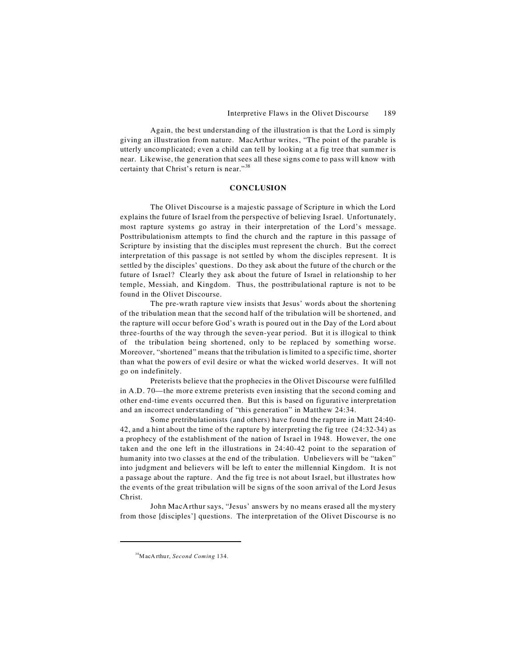Again, the best understanding of the illustration is that the Lord is simply giving an illustration from nature. MacArthur writes, "The point of the parable is utterly uncomplicated; even a child can tell by looking at a fig tree that summer is near. Likewise, the generation that sees all these signs come to pass will know with certainty that Christ's return is near."<sup>38</sup>

# **CONCLUSION**

The Olivet Discourse is a majestic passage of Scripture in which the Lord explains the future of Israel from the perspective of believing Israel. Unfortunately, most rapture systems go astray in their interpretation of the Lord's message. Posttribulationism attempts to find the church and the rapture in this passage of Scripture by insisting that the disciples must represent the church. But the correct interpretation of this passage is not settled by whom the disciples represent. It is settled by the disciples' questions. Do they ask about the future of the church or the future of Israel? Clearly they ask about the future of Israel in relationship to her temple, Messiah, and Kingdom. Thus, the posttribulational rapture is not to be found in the Olivet Discourse.

The pre-wrath rapture view insists that Jesus' words about the shortening of the tribulation mean that the second half of the tribulation will be shortened, and the rapture will occur before God's wrath is poured out in the Day of the Lord about three-fourths of the way through the seven-year period. But it is illogical to think of the tribulation being shortened, only to be replaced by something worse. Moreover, "shortened" means that the tribulation is limited to a specific time, shorter than what the powers of evil desire or what the wicked world deserves. It will not go on indefinitely.

Preterists believe that the prophecies in the Olivet Discourse were fulfilled in A.D. 70—the more extreme preterists even insisting that the second coming and other end-time events occurred then. But this is based on figurative interpretation and an incorrect understanding of "this generation" in Matthew 24:34.

Some pretribulationists (and others) have found the rapture in Matt 24:40- 42, and a hint about the time of the rapture by interpreting the fig tree (24:32-34) as a prophecy of the establishment of the nation of Israel in 1948. However, the one taken and the one left in the illustrations in 24:40-42 point to the separation of humanity into two classes at the end of the tribulation. Unbelievers will be "taken" into judgment and believers will be left to enter the millennial Kingdom. It is not a passage about the rapture. And the fig tree is not about Israel, but illustrates how the events of the great tribulation will be signs of the soon arrival of the Lord Jesus Christ.

John MacArthur says, "Jesus' answers by no means erased all the mystery from those [disciples'] questions. The interpretation of the Olivet Discourse is no

<sup>&</sup>lt;sup>38</sup>MacA rthur, *Second Coming* 134.